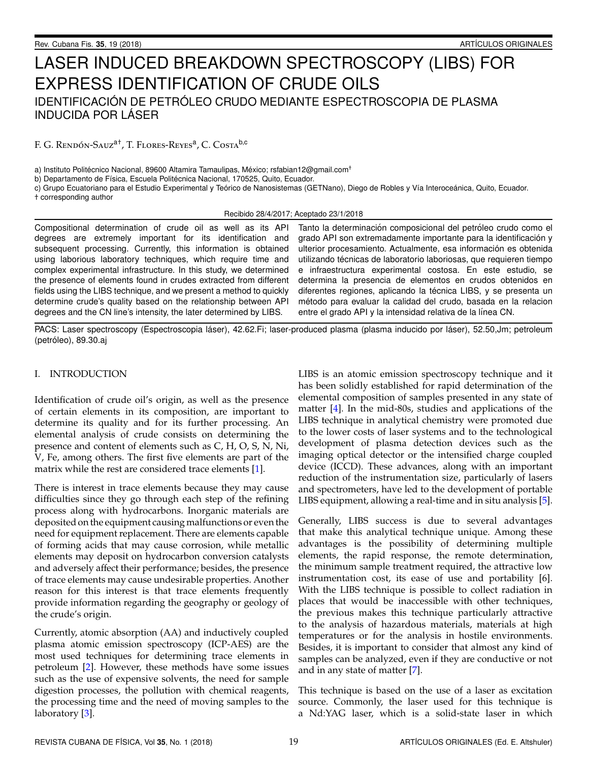# LASER INDUCED BREAKDOWN SPECTROSCOPY (LIBS) FOR EXPRESS IDENTIFICATION OF CRUDE OILS IDENTIFICACIÓN DE PETRÓLEO CRUDO MEDIANTE ESPECTROSCOPIA DE PLASMA INDUCIDA POR LASER ´

F. G. Rendón-Sauz<sup>a†</sup>, T. Flores-Reyes<sup>a</sup>, C. Costa<sup>b,c</sup>

a) Instituto Politécnico Nacional, 89600 Altamira Tamaulipas, México; rsfabian12@gmail.com<sup>+</sup>

b) Departamento de Física, Escuela Politécnica Nacional, 170525, Quito, Ecuador.

c) Grupo Ecuatoriano para el Estudio Experimental y Teórico de Nanosistemas (GETNano), Diego de Robles y Vía Interoceánica, Quito, Ecuador. † corresponding author

Recibido 28/4/2017; Aceptado 23/1/2018

Compositional determination of crude oil as well as its API degrees are extremely important for its identification and subsequent processing. Currently, this information is obtained using laborious laboratory techniques, which require time and complex experimental infrastructure. In this study, we determined the presence of elements found in crudes extracted from different fields using the LIBS technique, and we present a method to quickly determine crude's quality based on the relationship between API degrees and the CN line's intensity, the later determined by LIBS.

Tanto la determinación composicional del petróleo crudo como el grado API son extremadamente importante para la identificación y ulterior procesamiento. Actualmente, esa información es obtenida utilizando técnicas de laboratorio laboriosas, que requieren tiempo e infraestructura experimental costosa. En este estudio, se determina la presencia de elementos en crudos obtenidos en diferentes regiones, aplicando la técnica LIBS, y se presenta un método para evaluar la calidad del crudo, basada en la relacion entre el grado API y la intensidad relativa de la línea CN.

PACS: Laser spectroscopy (Espectroscopia láser), 42.62.Fi; laser-produced plasma (plasma inducido por láser), 52.50,Jm; petroleum (petroleo), 89.30.aj ´

# I. INTRODUCTION

Identification of crude oil's origin, as well as the presence of certain elements in its composition, are important to determine its quality and for its further processing. An elemental analysis of crude consists on determining the presence and content of elements such as C, H, O, S, N, Ni, V, Fe, among others. The first five elements are part of the matrix while the rest are considered trace elements [\[1\]](#page-4-0).

There is interest in trace elements because they may cause difficulties since they go through each step of the refining process along with hydrocarbons. Inorganic materials are deposited on the equipment causing malfunctions or even the need for equipment replacement. There are elements capable of forming acids that may cause corrosion, while metallic elements may deposit on hydrocarbon conversion catalysts and adversely affect their performance; besides, the presence of trace elements may cause undesirable properties. Another reason for this interest is that trace elements frequently provide information regarding the geography or geology of the crude's origin.

Currently, atomic absorption (AA) and inductively coupled plasma atomic emission spectroscopy (ICP-AES) are the most used techniques for determining trace elements in petroleum [\[2\]](#page-4-1). However, these methods have some issues such as the use of expensive solvents, the need for sample digestion processes, the pollution with chemical reagents, the processing time and the need of moving samples to the laboratory [\[3\]](#page-4-2).

LIBS is an atomic emission spectroscopy technique and it has been solidly established for rapid determination of the elemental composition of samples presented in any state of matter [\[4\]](#page-4-3). In the mid-80s, studies and applications of the LIBS technique in analytical chemistry were promoted due to the lower costs of laser systems and to the technological development of plasma detection devices such as the imaging optical detector or the intensified charge coupled device (ICCD). These advances, along with an important reduction of the instrumentation size, particularly of lasers and spectrometers, have led to the development of portable LIBS equipment, allowing a real-time and in situ analysis [\[5\]](#page-4-4).

Generally, LIBS success is due to several advantages that make this analytical technique unique. Among these advantages is the possibility of determining multiple elements, the rapid response, the remote determination, the minimum sample treatment required, the attractive low instrumentation cost, its ease of use and portability [6]. With the LIBS technique is possible to collect radiation in places that would be inaccessible with other techniques, the previous makes this technique particularly attractive to the analysis of hazardous materials, materials at high temperatures or for the analysis in hostile environments. Besides, it is important to consider that almost any kind of samples can be analyzed, even if they are conductive or not and in any state of matter [\[7\]](#page-4-5).

This technique is based on the use of a laser as excitation source. Commonly, the laser used for this technique is a Nd:YAG laser, which is a solid-state laser in which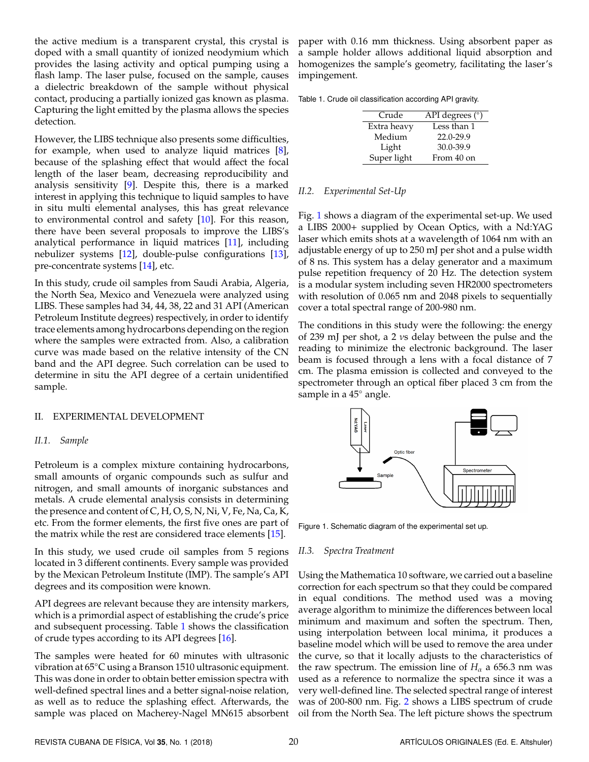the active medium is a transparent crystal, this crystal is doped with a small quantity of ionized neodymium which provides the lasing activity and optical pumping using a flash lamp. The laser pulse, focused on the sample, causes a dielectric breakdown of the sample without physical contact, producing a partially ionized gas known as plasma. Capturing the light emitted by the plasma allows the species detection.

However, the LIBS technique also presents some difficulties, for example, when used to analyze liquid matrices [\[8\]](#page-4-6), because of the splashing effect that would affect the focal length of the laser beam, decreasing reproducibility and analysis sensitivity [\[9\]](#page-4-7). Despite this, there is a marked interest in applying this technique to liquid samples to have in situ multi elemental analyses, this has great relevance to environmental control and safety [\[10\]](#page-4-8). For this reason, there have been several proposals to improve the LIBS's analytical performance in liquid matrices [\[11\]](#page-4-9), including nebulizer systems [\[12\]](#page-4-10), double-pulse configurations [\[13\]](#page-4-11), pre-concentrate systems [\[14\]](#page-4-12), etc.

In this study, crude oil samples from Saudi Arabia, Algeria, the North Sea, Mexico and Venezuela were analyzed using LIBS. These samples had 34, 44, 38, 22 and 31 API (American Petroleum Institute degrees) respectively, in order to identify trace elements among hydrocarbons depending on the region where the samples were extracted from. Also, a calibration curve was made based on the relative intensity of the CN band and the API degree. Such correlation can be used to determine in situ the API degree of a certain unidentified sample.

#### II. EXPERIMENTAL DEVELOPMENT

#### *II.1. Sample*

Petroleum is a complex mixture containing hydrocarbons, small amounts of organic compounds such as sulfur and nitrogen, and small amounts of inorganic substances and metals. A crude elemental analysis consists in determining the presence and content of C, H, O, S, N, Ni, V, Fe, Na, Ca, K, etc. From the former elements, the first five ones are part of the matrix while the rest are considered trace elements [\[15\]](#page-4-13).

In this study, we used crude oil samples from 5 regions located in 3 different continents. Every sample was provided by the Mexican Petroleum Institute (IMP). The sample's API degrees and its composition were known.

API degrees are relevant because they are intensity markers, which is a primordial aspect of establishing the crude's price and subsequent processing. Table [1](#page-1-0) shows the classification of crude types according to its API degrees [\[16\]](#page-4-14).

The samples were heated for 60 minutes with ultrasonic vibration at 65◦C using a Branson 1510 ultrasonic equipment. This was done in order to obtain better emission spectra with well-defined spectral lines and a better signal-noise relation, as well as to reduce the splashing effect. Afterwards, the sample was placed on Macherey-Nagel MN615 absorbent

paper with 0.16 mm thickness. Using absorbent paper as a sample holder allows additional liquid absorption and homogenizes the sample's geometry, facilitating the laser's impingement.

<span id="page-1-0"></span>

|  |  | Table 1. Crude oil classification according API gravity. |  |
|--|--|----------------------------------------------------------|--|
|  |  |                                                          |  |

| Crude       | API degrees $(°)$ |
|-------------|-------------------|
| Extra heavy | Less than 1       |
| Medium      | $22.0 - 29.9$     |
| Light       | 30.0-39.9         |
| Super light | From 40 on        |

### *II.2. Experimental Set-Up*

Fig. [1](#page-1-1) shows a diagram of the experimental set-up. We used a LIBS 2000+ supplied by Ocean Optics, with a Nd:YAG laser which emits shots at a wavelength of 1064 nm with an adjustable energy of up to 250 mJ per shot and a pulse width of 8 ns. This system has a delay generator and a maximum pulse repetition frequency of 20 Hz. The detection system is a modular system including seven HR2000 spectrometers with resolution of 0.065 nm and 2048 pixels to sequentially cover a total spectral range of 200-980 nm.

The conditions in this study were the following: the energy of 239 mJ per shot, a 2 νs delay between the pulse and the reading to minimize the electronic background. The laser beam is focused through a lens with a focal distance of 7 cm. The plasma emission is collected and conveyed to the spectrometer through an optical fiber placed 3 cm from the sample in a 45<sup>°</sup> angle.

<span id="page-1-1"></span>

Figure 1. Schematic diagram of the experimental set up.

## *II.3. Spectra Treatment*

Using the Mathematica 10 software, we carried out a baseline correction for each spectrum so that they could be compared in equal conditions. The method used was a moving average algorithm to minimize the differences between local minimum and maximum and soften the spectrum. Then, using interpolation between local minima, it produces a baseline model which will be used to remove the area under the curve, so that it locally adjusts to the characteristics of the raw spectrum. The emission line of  $H_\alpha$  a 656.3 nm was used as a reference to normalize the spectra since it was a very well-defined line. The selected spectral range of interest was of 200-800 nm. Fig. [2](#page-2-0) shows a LIBS spectrum of crude oil from the North Sea. The left picture shows the spectrum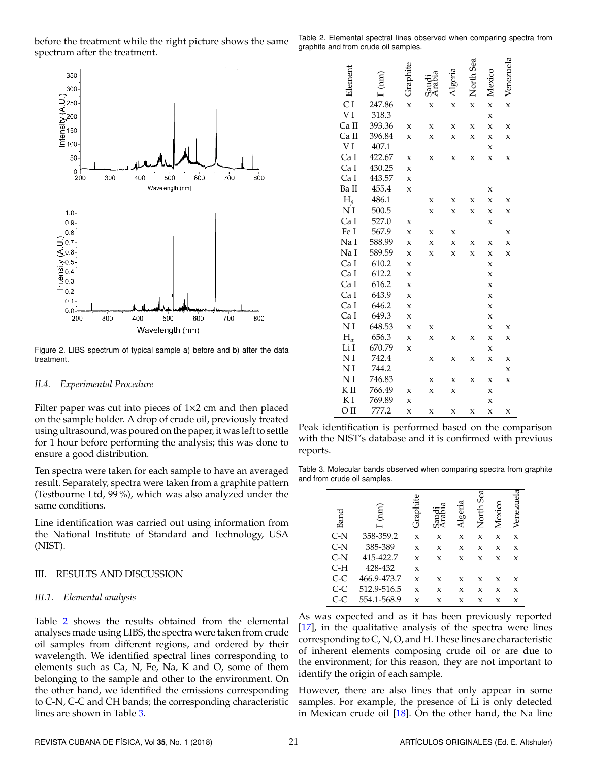before the treatment while the right picture shows the same spectrum after the treatment.

<span id="page-2-0"></span>

Figure 2. LIBS spectrum of typical sample a) before and b) after the data treatment.

## *II.4. Experimental Procedure*

Filter paper was cut into pieces of  $1\times 2$  cm and then placed on the sample holder. A drop of crude oil, previously treated using ultrasound, was poured on the paper, it was left to settle for 1 hour before performing the analysis; this was done to ensure a good distribution.

Ten spectra were taken for each sample to have an averaged result. Separately, spectra were taken from a graphite pattern (Testbourne Ltd, 99 %), which was also analyzed under the same conditions.

Line identification was carried out using information from the National Institute of Standard and Technology, USA (NIST).

## III. RESULTS AND DISCUSSION

## *III.1. Elemental analysis*

Table [2](#page-2-1) shows the results obtained from the elemental analyses made using LIBS, the spectra were taken from crude oil samples from different regions, and ordered by their wavelength. We identified spectral lines corresponding to elements such as Ca, N, Fe, Na, K and O, some of them belonging to the sample and other to the environment. On the other hand, we identified the emissions corresponding to C-N, C-C and CH bands; the corresponding characteristic lines are shown in Table [3.](#page-2-2)

<span id="page-2-1"></span>Table 2. Elemental spectral lines observed when comparing spectra from graphite and from crude oil samples.

|                     |        |              |             |              | <b>North Sea</b> |   |   |
|---------------------|--------|--------------|-------------|--------------|------------------|---|---|
|                     |        |              |             |              |                  |   |   |
|                     |        |              |             |              |                  |   |   |
| $\overline{\rm CI}$ | 247.86 | $\mathsf{x}$ | x           | $\mathsf{x}$ | $\mathbf{x}$     | X | X |
| VI                  | 318.3  |              |             |              |                  | X |   |
| Ca II               | 393.36 | $\mathbf x$  | X           | X            | $\mathbf x$      | X | X |
| Ca II               | 396.84 | X            | X           | X            | X                | X | X |
| VI                  | 407.1  |              |             |              |                  | X |   |
| Ca I                | 422.67 | X            | X           | X            | X                | X | X |
| Ca I                | 430.25 | $\mathbf x$  |             |              |                  |   |   |
| Ca I                | 443.57 | X            |             |              |                  |   |   |
| Ba II               | 455.4  | X            |             |              |                  | x |   |
| $H_{\beta}$         | 486.1  |              | X           | X            | X                | X | x |
| NI                  | 500.5  |              | X           | X            | X                | X | X |
| Ca I                | 527.0  | X            |             |              |                  | X |   |
| Fe I                | 567.9  | X            | X           | X            |                  |   | X |
| Na I                | 588.99 | X            | $\mathbf x$ | X            | X                | X | X |
| Na I                | 589.59 | X            | X           | X            | $\mathbf x$      | X | X |
| Ca I                | 610.2  | X            |             |              |                  | X |   |
| Ca I                | 612.2  | X            |             |              |                  | X |   |
| Ca I                | 616.2  | X            |             |              |                  | X |   |
| Ca I                | 643.9  | X            |             |              |                  | X |   |
| Ca I                | 646.2  | X            |             |              |                  | X |   |
| Ca I                | 649.3  | X            |             |              |                  | X |   |
| ΝI                  | 648.53 | X            | X           |              |                  | X | X |
| $H_{\alpha}$        | 656.3  | X            | X           | X            | X                | X | X |
| Li I                | 670.79 | X            |             |              |                  | X |   |
| NI                  | 742.4  |              | X           | X            | X                | X | X |
| N <sub>I</sub>      | 744.2  |              |             |              |                  |   | X |
| NI                  | 746.83 |              | X           | x            | X                | X | X |
| KП                  | 766.49 | X            | X           | X            |                  | X |   |
| K I                 | 769.89 | X            |             |              |                  | X |   |
| OЦ                  | 777.2  | X            | X           | X            | X                | X | X |

Peak identification is performed based on the comparison with the NIST's database and it is confirmed with previous reports.

<span id="page-2-2"></span>Table 3. Molecular bands observed when comparing spectra from graphite and from crude oil samples.

| Band  | $\binom{m}{n}$ | <b><i>Graphite</i></b> |   | Algeria | Sea<br>North | Mexico              | ದ<br>Venezuel |
|-------|----------------|------------------------|---|---------|--------------|---------------------|---------------|
| C-N   | 358-359.2      | X                      | X | X       | X            | $\boldsymbol{\chi}$ | X             |
| C-N   | 385-389        | X                      | X | X       | x            | X                   | X             |
| $C-N$ | 415-422.7      | X                      | X | X       | X            | X                   | X             |
| C-H   | 428-432        | X                      |   |         |              |                     |               |
| $C-C$ | 466.9-473.7    | X                      | X | X       | X            | X                   | X             |
| $C-C$ | 512.9-516.5    | X                      | X | X       | X            | X                   | X             |
|       | 554.1-568.9    | x                      | x | x       | x            | X                   | x             |
|       |                |                        |   |         |              |                     |               |

As was expected and as it has been previously reported [\[17\]](#page-4-15), in the qualitative analysis of the spectra were lines corresponding to C, N, O, and H. These lines are characteristic of inherent elements composing crude oil or are due to the environment; for this reason, they are not important to identify the origin of each sample.

However, there are also lines that only appear in some samples. For example, the presence of Li is only detected in Mexican crude oil [\[18\]](#page-4-16). On the other hand, the Na line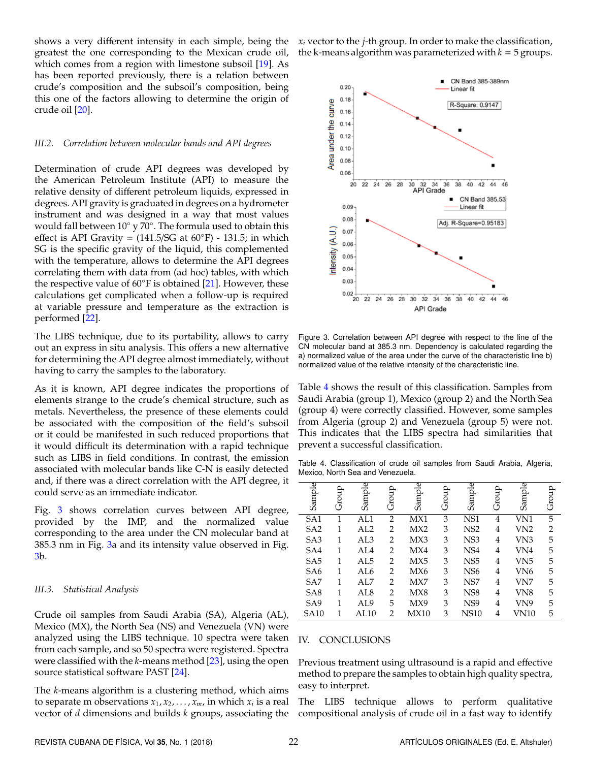shows a very different intensity in each simple, being the greatest the one corresponding to the Mexican crude oil, which comes from a region with limestone subsoil [\[19\]](#page-4-17). As has been reported previously, there is a relation between crude's composition and the subsoil's composition, being this one of the factors allowing to determine the origin of crude oil [\[20\]](#page-4-18).

## *III.2. Correlation between molecular bands and API degrees*

Determination of crude API degrees was developed by the American Petroleum Institute (API) to measure the relative density of different petroleum liquids, expressed in degrees. API gravity is graduated in degrees on a hydrometer instrument and was designed in a way that most values would fall between  $10^{\circ}$  y  $70^{\circ}$ . The formula used to obtain this effect is API Gravity =  $(141.5/\text{SG}$  at  $60°\text{F})$  - 131.5; in which SG is the specific gravity of the liquid, this complemented with the temperature, allows to determine the API degrees correlating them with data from (ad hoc) tables, with which the respective value of  $60°$ F is obtained [\[21\]](#page-4-19). However, these calculations get complicated when a follow-up is required at variable pressure and temperature as the extraction is performed [\[22\]](#page-4-20).

The LIBS technique, due to its portability, allows to carry out an express in situ analysis. This offers a new alternative for determining the API degree almost immediately, without having to carry the samples to the laboratory.

As it is known, API degree indicates the proportions of elements strange to the crude's chemical structure, such as metals. Nevertheless, the presence of these elements could be associated with the composition of the field's subsoil or it could be manifested in such reduced proportions that it would difficult its determination with a rapid technique such as LIBS in field conditions. In contrast, the emission associated with molecular bands like C-N is easily detected and, if there was a direct correlation with the API degree, it could serve as an immediate indicator.

Fig. [3](#page-3-0) shows correlation curves between API degree, provided by the IMP, and the normalized value corresponding to the area under the CN molecular band at 385.3 nm in Fig. [3a](#page-3-0) and its intensity value observed in Fig. [3b](#page-3-0).

## *III.3. Statistical Analysis*

Crude oil samples from Saudi Arabia (SA), Algeria (AL), Mexico (MX), the North Sea (NS) and Venezuela (VN) were analyzed using the LIBS technique. 10 spectra were taken from each sample, and so 50 spectra were registered. Spectra were classified with the *k*-means method [\[23\]](#page-4-21), using the open source statistical software PAST [\[24\]](#page-4-22).

The *k*-means algorithm is a clustering method, which aims to separate m observations  $x_1, x_2, \ldots, x_m$ , in which  $x_i$  is a real vector of *d* dimensions and builds *k* groups, associating the

*x<sup>i</sup>* vector to the *j*-th group. In order to make the classification, the k-means algorithm was parameterized with  $k = 5$  groups.

<span id="page-3-0"></span>

Figure 3. Correlation between API degree with respect to the line of the CN molecular band at 385.3 nm. Dependency is calculated regarding the a) normalized value of the area under the curve of the characteristic line b) normalized value of the relative intensity of the characteristic line.

Table [4](#page-3-1) shows the result of this classification. Samples from Saudi Arabia (group 1), Mexico (group 2) and the North Sea (group 4) were correctly classified. However, some samples from Algeria (group 2) and Venezuela (group 5) were not. This indicates that the LIBS spectra had similarities that prevent a successful classification.

<span id="page-3-1"></span>Table 4. Classification of crude oil samples from Saudi Arabia, Algeria, Mexico, North Sea and Venezuela.

| Sample          | Group | Sample          | Group          | Sample | Group | Sample          | Group          | Sample | Group          |
|-----------------|-------|-----------------|----------------|--------|-------|-----------------|----------------|--------|----------------|
| SA <sub>1</sub> | 1     | AL1             | $\overline{2}$ | MX1    | 3     | NS <sub>1</sub> | 4              | VN1    | 5              |
| SA <sub>2</sub> | 1     | AI.2            | $\overline{2}$ | MX2    | 3     | NS <sub>2</sub> | 4              | VN2    | $\overline{2}$ |
| SA <sub>3</sub> | 1     | AL3             | $\overline{2}$ | MX3    | 3     | NS <sub>3</sub> | $\overline{4}$ | VN3    | 5              |
| SA4             | 1     | AL4             | 2              | MX4    | 3     | NS <sub>4</sub> | 4              | VN4    | 5              |
| SA <sub>5</sub> | 1     | AL5             | $\overline{2}$ | MX5    | 3     | NS <sub>5</sub> | 4              | VN5    | 5              |
| SA <sub>6</sub> | 1     | AL6             | $\overline{2}$ | MX6    | 3     | NS <sub>6</sub> | 4              | VN6    | 5              |
| SA <sub>7</sub> | 1     | AL <sub>7</sub> | $\overline{2}$ | MX7    | 3     | NS7             | 4              | VN7    | 5              |
| SA <sub>8</sub> | 1     | AL <sub>8</sub> | $\overline{2}$ | MX8    | 3     | NS <sub>8</sub> | 4              | VN8    | 5              |
| SA <sub>9</sub> | 1     | AL9             | 5              | MX9    | 3     | NS <sub>9</sub> | 4              | VN9    | 5              |
| <b>SA10</b>     |       | AL10            | $\overline{2}$ | MX10   | 3     | <b>NS10</b>     | 4              | VN10   | 5              |

#### IV. CONCLUSIONS

Previous treatment using ultrasound is a rapid and effective method to prepare the samples to obtain high quality spectra, easy to interpret.

The LIBS technique allows to perform qualitative compositional analysis of crude oil in a fast way to identify